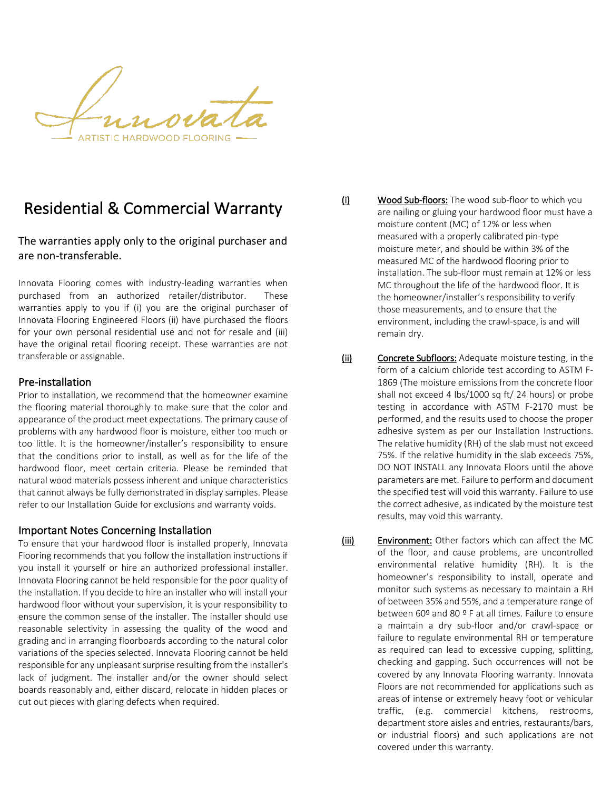**ARTISTIC HARDWOOD FLOORING .** 

# Residential & Commercial Warranty

The warranties apply only to the original purchaser and are non-transferable.

Innovata Flooring comes with industry-leading warranties when purchased from an authorized retailer/distributor. These warranties apply to you if (i) you are the original purchaser of Innovata Flooring Engineered Floors (ii) have purchased the floors for your own personal residential use and not for resale and (iii) have the original retail flooring receipt. These warranties are not transferable or assignable.

#### Pre-installation

Prior to installation, we recommend that the homeowner examine the flooring material thoroughly to make sure that the color and appearance of the product meet expectations. The primary cause of problems with any hardwood floor is moisture, either too much or too little. It is the homeowner/installer's responsibility to ensure that the conditions prior to install, as well as for the life of the hardwood floor, meet certain criteria. Please be reminded that natural wood materials possess inherent and unique characteristics that cannot always be fully demonstrated in display samples. Please refer to our Installation Guide for exclusions and warranty voids.

#### Important Notes Concerning Installation

To ensure that your hardwood floor is installed properly, Innovata Flooring recommends that you follow the installation instructions if you install it yourself or hire an authorized professional installer. Innovata Flooring cannot be held responsible for the poor quality of the installation. If you decide to hire an installer who will install your hardwood floor without your supervision, it is your responsibility to ensure the common sense of the installer. The installer should use reasonable selectivity in assessing the quality of the wood and grading and in arranging floorboards according to the natural color variations of the species selected. Innovata Flooring cannot be held responsible for any unpleasant surprise resulting from the installer's lack of judgment. The installer and/or the owner should select boards reasonably and, either discard, relocate in hidden places or cut out pieces with glaring defects when required.

(i) Wood Sub-floors: The wood sub-floor to which you are nailing or gluing your hardwood floor must have a moisture content (MC) of 12% or less when measured with a properly calibrated pin-type moisture meter, and should be within 3% of the measured MC of the hardwood flooring prior to installation. The sub-floor must remain at 12% or less MC throughout the life of the hardwood floor. It is the homeowner/installer's responsibility to verify those measurements, and to ensure that the environment, including the crawl-space, is and will remain dry.

- (ii) Concrete Subfloors: Adequate moisture testing, in the form of a calcium chloride test according to ASTM F-1869 (The moisture emissions from the concrete floor shall not exceed 4 lbs/1000 sq ft/ 24 hours) or probe testing in accordance with ASTM F-2170 must be performed, and the results used to choose the proper adhesive system as per our Installation Instructions. The relative humidity (RH) of the slab must not exceed 75%. If the relative humidity in the slab exceeds 75%, DO NOT INSTALL any Innovata Floors until the above parameters are met. Failure to perform and document the specified test will void this warranty. Failure to use the correct adhesive, as indicated by the moisture test results, may void this warranty.
- (iii) Environment: Other factors which can affect the MC of the floor, and cause problems, are uncontrolled environmental relative humidity (RH). It is the homeowner's responsibility to install, operate and monitor such systems as necessary to maintain a RH of between 35% and 55%, and a temperature range of between 60º and 80 º F at all times. Failure to ensure a maintain a dry sub-floor and/or crawl-space or failure to regulate environmental RH or temperature as required can lead to excessive cupping, splitting, checking and gapping. Such occurrences will not be covered by any Innovata Flooring warranty. Innovata Floors are not recommended for applications such as areas of intense or extremely heavy foot or vehicular traffic, (e.g. commercial kitchens, restrooms, department store aisles and entries, restaurants/bars, or industrial floors) and such applications are not covered under this warranty.